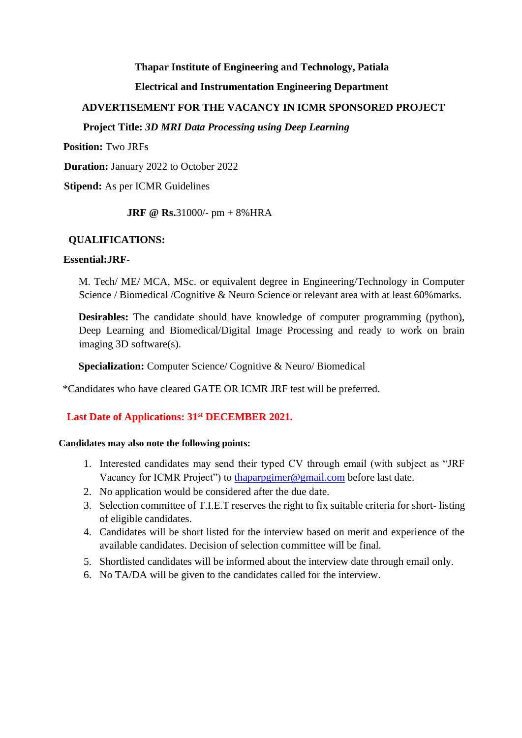#### **Thapar Institute of Engineering and Technology, Patiala**

## **Electrical and Instrumentation Engineering Department**

## **ADVERTISEMENT FOR THE VACANCY IN ICMR SPONSORED PROJECT**

## **Project Title:** *3D MRI Data Processing using Deep Learning*

**Position:** Two JRFs

**Duration:** January 2022 to October 2022

**Stipend:** As per ICMR Guidelines

**JRF @ Rs.**31000/- pm + 8%HRA

### **QUALIFICATIONS:**

# **Essential:JRF-**

M. Tech/ ME/ MCA, MSc. or equivalent degree in Engineering/Technology in Computer Science / Biomedical / Cognitive & Neuro Science or relevant area with at least 60% marks.

**Desirables:** The candidate should have knowledge of computer programming (python), Deep Learning and Biomedical/Digital Image Processing and ready to work on brain imaging 3D software(s).

**Specialization:** Computer Science/ Cognitive & Neuro/ Biomedical

\*Candidates who have cleared GATE OR ICMR JRF test will be preferred.

# **Last Date of Applications: 31st DECEMBER 2021.**

#### **Candidates may also note the following points:**

- 1. Interested candidates may send their typed CV through email (with subject as "JRF Vacancy for ICMR Project") to thaparpgimer@gmail.com before last date.
- 2. No application would be considered after the due date.
- 3. Selection committee of T.I.E.T reserves the right to fix suitable criteria for short- listing of eligible candidates.
- 4. Candidates will be short listed for the interview based on merit and experience of the available candidates. Decision of selection committee will be final.
- 5. Shortlisted candidates will be informed about the interview date through email only.
- 6. No TA/DA will be given to the candidates called for the interview.